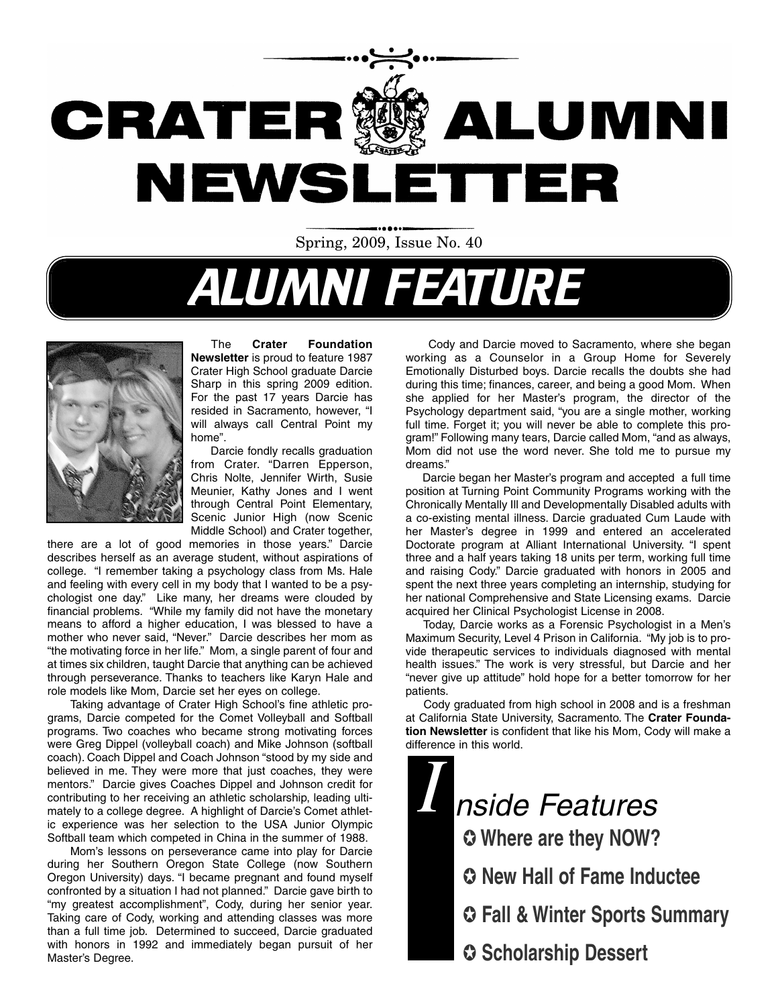

# ALUMNI FEATURE



The **Crater Foundation Newsletter** is proud to feature 1987 Crater High School graduate Darcie Sharp in this spring 2009 edition. For the past 17 years Darcie has resided in Sacramento, however, "I will always call Central Point my home".

Darcie fondly recalls graduation from Crater. "Darren Epperson, Chris Nolte, Jennifer Wirth, Susie Meunier, Kathy Jones and I went through Central Point Elementary, Scenic Junior High (now Scenic Middle School) and Crater together,

there are a lot of good memories in those years." Darcie describes herself as an average student, without aspirations of college. "I remember taking a psychology class from Ms. Hale and feeling with every cell in my body that I wanted to be a psychologist one day." Like many, her dreams were clouded by financial problems. "While my family did not have the monetary means to afford a higher education, I was blessed to have a mother who never said, "Never." Darcie describes her mom as "the motivating force in her life." Mom, a single parent of four and at times six children, taught Darcie that anything can be achieved through perseverance. Thanks to teachers like Karyn Hale and role models like Mom, Darcie set her eyes on college.

Taking advantage of Crater High School's fine athletic programs, Darcie competed for the Comet Volleyball and Softball programs. Two coaches who became strong motivating forces were Greg Dippel (volleyball coach) and Mike Johnson (softball coach). Coach Dippel and Coach Johnson "stood by my side and believed in me. They were more that just coaches, they were mentors." Darcie gives Coaches Dippel and Johnson credit for contributing to her receiving an athletic scholarship, leading ultimately to a college degree. A highlight of Darcie's Comet athletic experience was her selection to the USA Junior Olympic Softball team which competed in China in the summer of 1988.

Mom's lessons on perseverance came into play for Darcie during her Southern Oregon State College (now Southern Oregon University) days. "I became pregnant and found myself confronted by a situation I had not planned." Darcie gave birth to "my greatest accomplishment", Cody, during her senior year. Taking care of Cody, working and attending classes was more than a full time job. Determined to succeed, Darcie graduated with honors in 1992 and immediately began pursuit of her Master's Degree.

Cody and Darcie moved to Sacramento, where she began working as a Counselor in a Group Home for Severely Emotionally Disturbed boys. Darcie recalls the doubts she had during this time; finances, career, and being a good Mom. When she applied for her Master's program, the director of the Psychology department said, "you are a single mother, working full time. Forget it; you will never be able to complete this program!" Following many tears, Darcie called Mom, "and as always, Mom did not use the word never. She told me to pursue my dreams."

Darcie began her Master's program and accepted a full time position at Turning Point Community Programs working with the Chronically Mentally Ill and Developmentally Disabled adults with a co-existing mental illness. Darcie graduated Cum Laude with her Master's degree in 1999 and entered an accelerated Doctorate program at Alliant International University. "I spent three and a half years taking 18 units per term, working full time and raising Cody." Darcie graduated with honors in 2005 and spent the next three years completing an internship, studying for her national Comprehensive and State Licensing exams. Darcie acquired her Clinical Psychologist License in 2008.

Today, Darcie works as a Forensic Psychologist in a Men's Maximum Security, Level 4 Prison in California. "My job is to provide therapeutic services to individuals diagnosed with mental health issues." The work is very stressful, but Darcie and her "never give up attitude" hold hope for a better tomorrow for her patients.

Cody graduated from high school in 2008 and is a freshman at California State University, Sacramento. The **Crater Foundation Newsletter** is confident that like his Mom, Cody will make a difference in this world.

*I* ✪ **Where are they NOW?** ✪ **New Hall of Fame Inductee** ✪ **Fall & Winter Sports Summary** nside Features

✪ **Scholarship Dessert**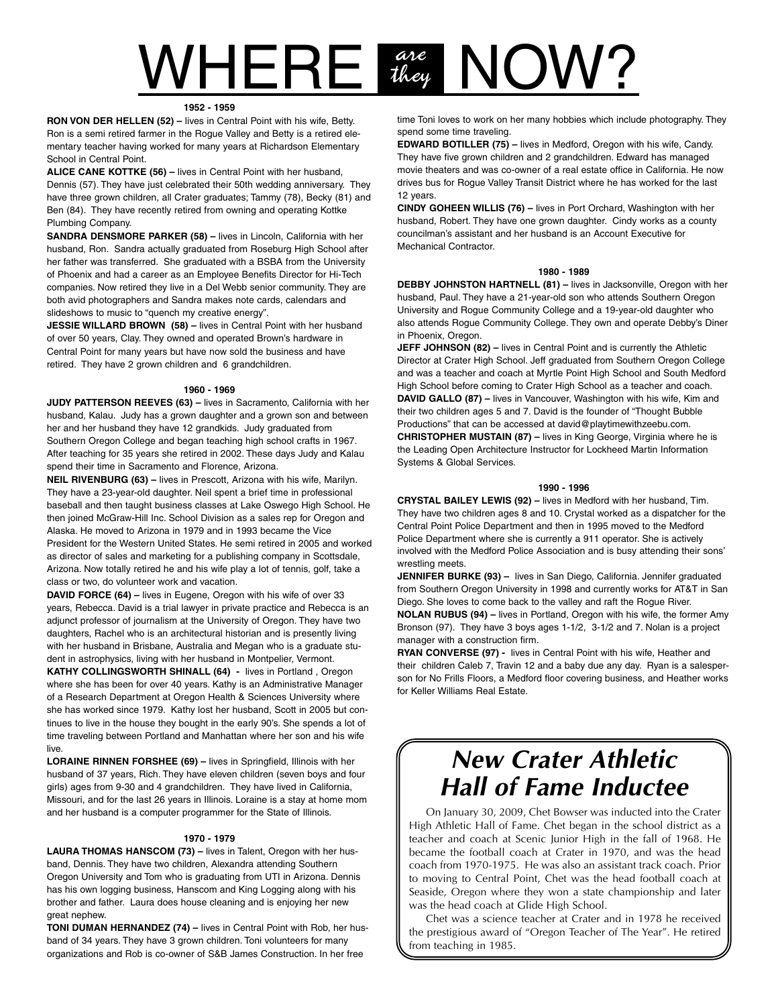# $WHERE$   $\frac{arc}{t_{key}}$  NOW? they

#### **1952 - 1959**

**RON VON DER HELLEN (52) –** lives in Central Point with his wife, Betty. Ron is a semi retired farmer in the Rogue Valley and Betty is a retired elementary teacher having worked for many years at Richardson Elementary School in Central Point.

**ALICE CANE KOTTKE (56) –** lives in Central Point with her husband, Dennis (57). They have just celebrated their 50th wedding anniversary. They have three grown children, all Crater graduates; Tammy (78), Becky (81) and Ben (84). They have recently retired from owning and operating Kottke Plumbing Company.

**SANDRA DENSMORE PARKER (58) –** lives in Lincoln, California with her husband, Ron. Sandra actually graduated from Roseburg High School after her father was transferred. She graduated with a BSBA from the University of Phoenix and had a career as an Employee Benefits Director for Hi-Tech companies. Now retired they live in a Del Webb senior community. They are both avid photographers and Sandra makes note cards, calendars and slideshows to music to "quench my creative energy".

**JESSIE WILLARD BROWN (58) –** lives in Central Point with her husband of over 50 years, Clay. They owned and operated Brown's hardware in Central Point for many years but have now sold the business and have retired. They have 2 grown children and 6 grandchildren.

#### **1960 - 1969**

**JUDY PATTERSON REEVES (63) –** lives in Sacramento, California with her husband, Kalau. Judy has a grown daughter and a grown son and between her and her husband they have 12 grandkids. Judy graduated from Southern Oregon College and began teaching high school crafts in 1967. After teaching for 35 years she retired in 2002. These days Judy and Kalau spend their time in Sacramento and Florence, Arizona.

**NEIL RIVENBURG (63) –** lives in Prescott, Arizona with his wife, Marilyn. They have a 23-year-old daughter. Neil spent a brief time in professional baseball and then taught business classes at Lake Oswego High School. He then joined McGraw-Hill Inc. School Division as a sales rep for Oregon and Alaska. He moved to Arizona in 1979 and in 1993 became the Vice President for the Western United States. He semi retired in 2005 and worked as director of sales and marketing for a publishing company in Scottsdale, Arizona. Now totally retired he and his wife play a lot of tennis, golf, take a class or two, do volunteer work and vacation.

**DAVID FORCE (64) –** lives in Eugene, Oregon with his wife of over 33 years, Rebecca. David is a trial lawyer in private practice and Rebecca is an adjunct professor of journalism at the University of Oregon. They have two daughters, Rachel who is an architectural historian and is presently living with her husband in Brisbane, Australia and Megan who is a graduate student in astrophysics, living with her husband in Montpelier, Vermont.

**KATHY COLLINGSWORTH SHINALL (64) -** lives in Portland , Oregon where she has been for over 40 years. Kathy is an Administrative Manager of a Research Department at Oregon Health & Sciences University where she has worked since 1979. Kathy lost her husband, Scott in 2005 but continues to live in the house they bought in the early 90's. She spends a lot of time traveling between Portland and Manhattan where her son and his wife live.

**LORAINE RINNEN FORSHEE (69) –** lives in Springfield, Illinois with her husband of 37 years, Rich. They have eleven children (seven boys and four girls) ages from 9-30 and 4 grandchildren. They have lived in California, Missouri, and for the last 26 years in Illinois. Loraine is a stay at home mom and her husband is a computer programmer for the State of Illinois.

#### **1970 - 1979**

**LAURA THOMAS HANSCOM (73) –** lives in Talent, Oregon with her husband, Dennis. They have two children, Alexandra attending Southern Oregon University and Tom who is graduating from UTI in Arizona. Dennis has his own logging business, Hanscom and King Logging along with his brother and father. Laura does house cleaning and is enjoying her new great nephew.

**TONI DUMAN HERNANDEZ (74) –** lives in Central Point with Rob, her husband of 34 years. They have 3 grown children. Toni volunteers for many organizations and Rob is co-owner of S&B James Construction. In her free

time Toni loves to work on her many hobbies which include photography. They spend some time traveling.

**EDWARD BOTILLER (75) –** lives in Medford, Oregon with his wife, Candy. They have five grown children and 2 grandchildren. Edward has managed movie theaters and was co-owner of a real estate office in California. He now drives bus for Rogue Valley Transit District where he has worked for the last 12 years.

**CINDY GOHEEN WILLIS (76) –** lives in Port Orchard, Washington with her husband, Robert. They have one grown daughter. Cindy works as a county councilman's assistant and her husband is an Account Executive for Mechanical Contractor.

#### **1980 - 1989**

**DEBBY JOHNSTON HARTNELL (81) –** lives in Jacksonville, Oregon with her husband, Paul. They have a 21-year-old son who attends Southern Oregon University and Rogue Community College and a 19-year-old daughter who also attends Rogue Community College. They own and operate Debby's Diner in Phoenix, Oregon.

**JEFF JOHNSON (82) - lives in Central Point and is currently the Athletic** Director at Crater High School. Jeff graduated from Southern Oregon College and was a teacher and coach at Myrtle Point High School and South Medford High School before coming to Crater High School as a teacher and coach. **DAVID GALLO (87)** – lives in Vancouver, Washington with his wife, Kim and their two children ages 5 and 7. David is the founder of "Thought Bubble Productions" that can be accessed at david@playtimewithzeebu.com. **CHRISTOPHER MUSTAIN (87) –** lives in King George, Virginia where he is the Leading Open Architecture Instructor for Lockheed Martin Information Systems & Global Services.

#### **1990 - 1996**

**CRYSTAL BAILEY LEWIS (92) –** lives in Medford with her husband, Tim. They have two children ages 8 and 10. Crystal worked as a dispatcher for the Central Point Police Department and then in 1995 moved to the Medford Police Department where she is currently a 911 operator. She is actively involved with the Medford Police Association and is busy attending their sons' wrestling meets.

**JENNIFER BURKE (93) –** lives in San Diego, California. Jennifer graduated from Southern Oregon University in 1998 and currently works for AT&T in San Diego. She loves to come back to the valley and raft the Rogue River.

**NOLAN RUBUS (94) –** lives in Portland, Oregon with his wife, the former Amy Bronson (97). They have 3 boys ages 1-1/2, 3-1/2 and 7. Nolan is a project manager with a construction firm.

**RYAN CONVERSE (97) -** lives in Central Point with his wife, Heather and their children Caleb 7, Travin 12 and a baby due any day. Ryan is a salesperson for No Frills Floors, a Medford floor covering business, and Heather works for Keller Williams Real Estate.

## **New Crater Athletic Hall of Fame Inductee**

On January 30, 2009, Chet Bowser was inducted into the Crater High Athletic Hall of Fame. Chet began in the school district as a teacher and coach at Scenic Junior High in the fall of 1968. He became the football coach at Crater in 1970, and was the head coach from 1970-1975. He was also an assistant track coach. Prior to moving to Central Point, Chet was the head football coach at Seaside, Oregon where they won a state championship and later was the head coach at Glide High School.

Chet was a science teacher at Crater and in 1978 he received the prestigious award of "Oregon Teacher of The Year". He retired from teaching in 1985.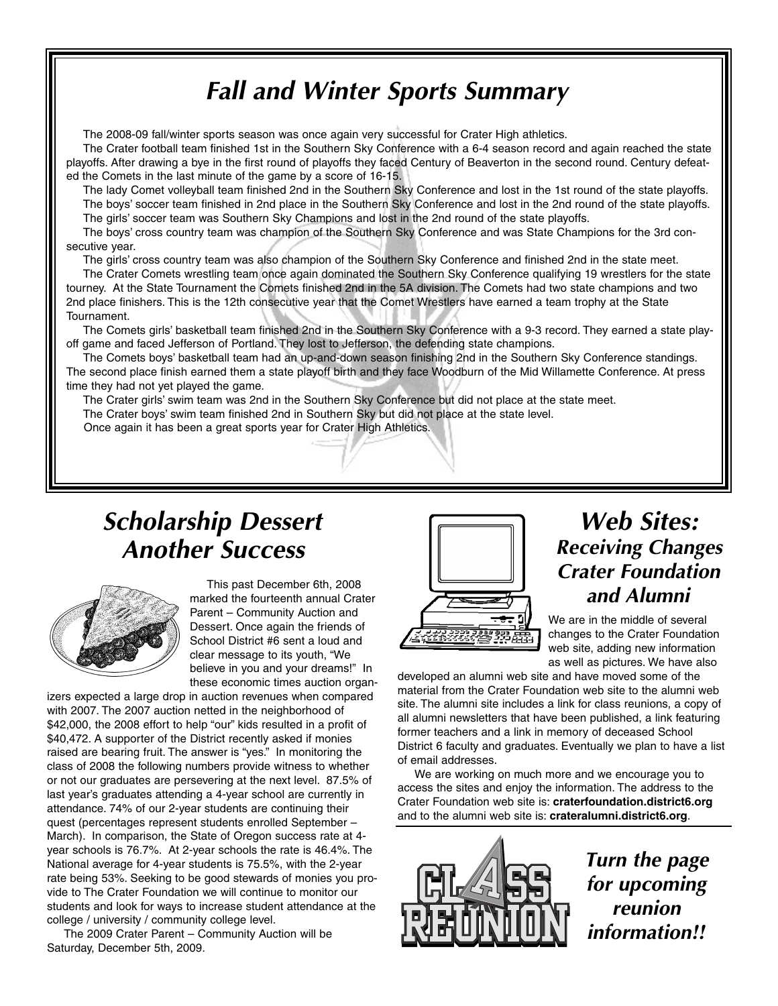# **Fall and Winter Sports Summary**

The 2008-09 fall/winter sports season was once again very successful for Crater High athletics.

The Crater football team finished 1st in the Southern Sky Conference with a 6-4 season record and again reached the state playoffs. After drawing a bye in the first round of playoffs they faced Century of Beaverton in the second round. Century defeated the Comets in the last minute of the game by a score of 16-15.

The lady Comet volleyball team finished 2nd in the Southern Sky Conference and lost in the 1st round of the state playoffs. The boys' soccer team finished in 2nd place in the Southern Sky Conference and lost in the 2nd round of the state playoffs. The girls' soccer team was Southern Sky Champions and lost in the 2nd round of the state playoffs.

The boys' cross country team was champion of the Southern Sky Conference and was State Champions for the 3rd consecutive year.

The girls' cross country team was also champion of the Southern Sky Conference and finished 2nd in the state meet.

The Crater Comets wrestling team once again dominated the Southern Sky Conference qualifying 19 wrestlers for the state tourney. At the State Tournament the Comets finished 2nd in the 5A division. The Comets had two state champions and two 2nd place finishers. This is the 12th consecutive year that the Comet Wrestlers have earned a team trophy at the State Tournament.

The Comets girls' basketball team finished 2nd in the Southern Sky Conference with a 9-3 record. They earned a state playoff game and faced Jefferson of Portland. They lost to Jefferson, the defending state champions.

The Comets boys' basketball team had an up-and-down season finishing 2nd in the Southern Sky Conference standings. The second place finish earned them a state playoff birth and they face Woodburn of the Mid Willamette Conference. At press time they had not yet played the game.

The Crater girls' swim team was 2nd in the Southern Sky Conference but did not place at the state meet. The Crater boys' swim team finished 2nd in Southern Sky but did not place at the state level.

Once again it has been a great sports year for Crater High Athletics.

# **Scholarship Dessert Another Success**



This past December 6th, 2008 marked the fourteenth annual Crater Parent – Community Auction and Dessert. Once again the friends of School District #6 sent a loud and clear message to its youth, "We believe in you and your dreams!" In these economic times auction organ-

izers expected a large drop in auction revenues when compared with 2007. The 2007 auction netted in the neighborhood of \$42,000, the 2008 effort to help "our" kids resulted in a profit of \$40,472. A supporter of the District recently asked if monies raised are bearing fruit. The answer is "yes." In monitoring the class of 2008 the following numbers provide witness to whether or not our graduates are persevering at the next level. 87.5% of last year's graduates attending a 4-year school are currently in attendance. 74% of our 2-year students are continuing their quest (percentages represent students enrolled September – March). In comparison, the State of Oregon success rate at 4 year schools is 76.7%. At 2-year schools the rate is 46.4%. The National average for 4-year students is 75.5%, with the 2-year rate being 53%. Seeking to be good stewards of monies you provide to The Crater Foundation we will continue to monitor our students and look for ways to increase student attendance at the college / university / community college level.

The 2009 Crater Parent – Community Auction will be Saturday, December 5th, 2009.



## **Web Sites: Receiving Changes Crater Foundation and Alumni**

We are in the middle of several changes to the Crater Foundation web site, adding new information as well as pictures. We have also

developed an alumni web site and have moved some of the material from the Crater Foundation web site to the alumni web site. The alumni site includes a link for class reunions, a copy of all alumni newsletters that have been published, a link featuring former teachers and a link in memory of deceased School District 6 faculty and graduates. Eventually we plan to have a list of email addresses.

We are working on much more and we encourage you to access the sites and enjoy the information. The address to the Crater Foundation web site is: **craterfoundation.district6.org** and to the alumni web site is: **crateralumni.district6.org**.



**Turn the page for upcoming reunion information!!**